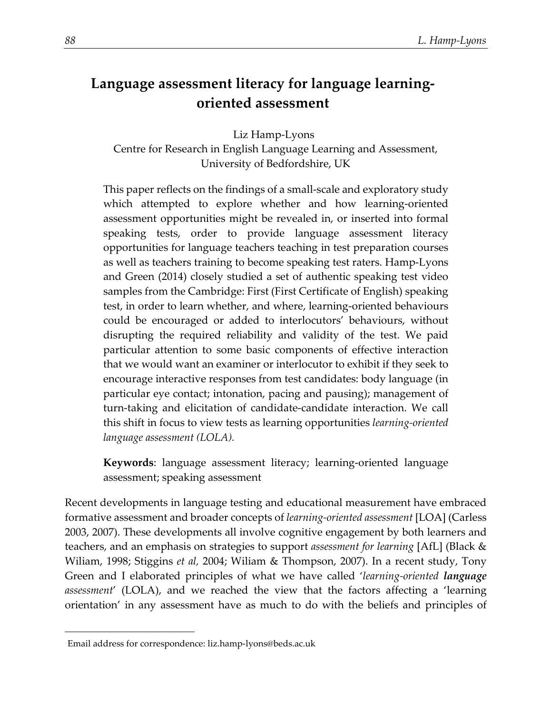# **Language assessment literacy for language learningoriented assessment**

Liz Hamp-Lyons

Centre for Research in English Language Learning and Assessment, University of Bedfordshire, UK

This paper reflects on the findings of a small-scale and exploratory study which attempted to explore whether and how learning-oriented assessment opportunities might be revealed in, or inserted into formal speaking tests, order to provide language assessment literacy opportunities for language teachers teaching in test preparation courses as well as teachers training to become speaking test raters. Hamp-Lyons and Green (2014) closely studied a set of authentic speaking test video samples from the Cambridge: First (First Certificate of English) speaking test, in order to learn whether, and where, learning-oriented behaviours could be encouraged or added to interlocutors' behaviours, without disrupting the required reliability and validity of the test. We paid particular attention to some basic components of effective interaction that we would want an examiner or interlocutor to exhibit if they seek to encourage interactive responses from test candidates: body language (in particular eye contact; intonation, pacing and pausing); management of turn-taking and elicitation of candidate-candidate interaction. We call this shift in focus to view tests as learning opportunities *learning-oriented language assessment (LOLA).*

**Keywords**: language assessment literacy; learning-oriented language assessment; speaking assessment

Recent developments in language testing and educational measurement have embraced formative assessment and broader concepts of *learning-oriented assessment* [LOA] (Carless 2003, 2007). These developments all involve cognitive engagement by both learners and teachers, and an emphasis on strategies to support *assessment for learning* [AfL] (Black & Wiliam, 1998; Stiggins *et al,* 2004; Wiliam & Thompson, 2007). In a recent study, Tony Green and I elaborated principles of what we have called '*learning-oriented language assessment*' (LOLA), and we reached the view that the factors affecting a 'learning orientation' in any assessment have as much to do with the beliefs and principles of

<span id="page-0-0"></span> $\overline{a}$ 

Email address for correspondence: liz.hamp-lyons@beds.ac.uk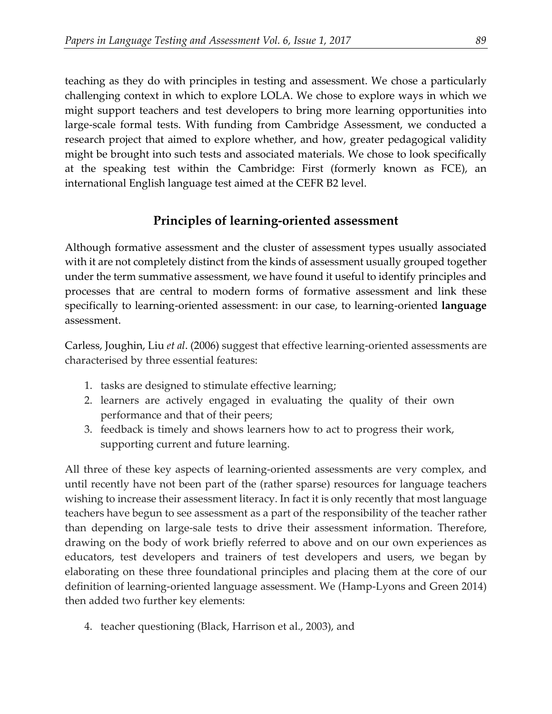teaching as they do with principles in testing and assessment. We chose a particularly challenging context in which to explore LOLA. We chose to explore ways in which we might support teachers and test developers to bring more learning opportunities into large-scale formal tests. With funding from Cambridge Assessment, we conducted a research project that aimed to explore whether, and how, greater pedagogical validity might be brought into such tests and associated materials. We chose to look specifically at the speaking test within the Cambridge: First (formerly known as FCE), an international English language test aimed at the CEFR B2 level.

# **Principles of learning-oriented assessment**

Although formative assessment and the cluster of assessment types usually associated with it are not completely distinct from the kinds of assessment usually grouped together under the term summative assessment, we have found it useful to identify principles and processes that are central to modern forms of formative assessment and link these specifically to learning-oriented assessment: in our case, to learning-oriented **language**  assessment.

Carless, Joughin, Liu *et al*. (2006) suggest that effective learning-oriented assessments are characterised by three essential features:

- 1. tasks are designed to stimulate effective learning;
- 2. learners are actively engaged in evaluating the quality of their own performance and that of their peers;
- 3. feedback is timely and shows learners how to act to progress their work, supporting current and future learning.

All three of these key aspects of learning-oriented assessments are very complex, and until recently have not been part of the (rather sparse) resources for language teachers wishing to increase their assessment literacy. In fact it is only recently that most language teachers have begun to see assessment as a part of the responsibility of the teacher rather than depending on large-sale tests to drive their assessment information. Therefore, drawing on the body of work briefly referred to above and on our own experiences as educators, test developers and trainers of test developers and users, we began by elaborating on these three foundational principles and placing them at the core of our definition of learning-oriented language assessment. We (Hamp-Lyons and Green 2014) then added two further key elements:

4. teacher questioning (Black, Harrison et al., 2003), and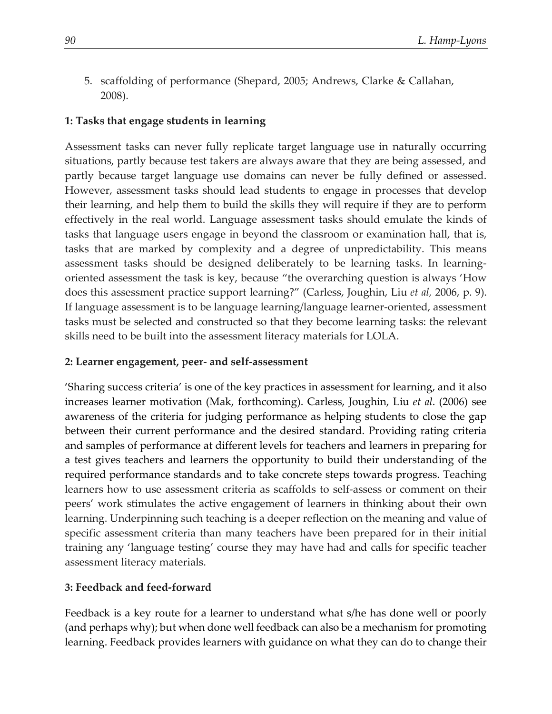5. scaffolding of performance (Shepard, 2005; Andrews, Clarke & Callahan, 2008).

### **1: Tasks that engage students in learning**

Assessment tasks can never fully replicate target language use in naturally occurring situations, partly because test takers are always aware that they are being assessed, and partly because target language use domains can never be fully defined or assessed. However, assessment tasks should lead students to engage in processes that develop their learning, and help them to build the skills they will require if they are to perform effectively in the real world. Language assessment tasks should emulate the kinds of tasks that language users engage in beyond the classroom or examination hall, that is, tasks that are marked by complexity and a degree of unpredictability. This means assessment tasks should be designed deliberately to be learning tasks. In learningoriented assessment the task is key, because "the overarching question is always 'How does this assessment practice support learning?" (Carless, Joughin, Liu *et al,* 2006, p. 9). If language assessment is to be language learning/language learner-oriented, assessment tasks must be selected and constructed so that they become learning tasks: the relevant skills need to be built into the assessment literacy materials for LOLA.

#### **2: Learner engagement, peer- and self-assessment**

'Sharing success criteria' is one of the key practices in assessment for learning, and it also increases learner motivation (Mak, forthcoming). Carless, Joughin, Liu *et al*. (2006) see awareness of the criteria for judging performance as helping students to close the gap between their current performance and the desired standard. Providing rating criteria and samples of performance at different levels for teachers and learners in preparing for a test gives teachers and learners the opportunity to build their understanding of the required performance standards and to take concrete steps towards progress. Teaching learners how to use assessment criteria as scaffolds to self-assess or comment on their peers' work stimulates the active engagement of learners in thinking about their own learning. Underpinning such teaching is a deeper reflection on the meaning and value of specific assessment criteria than many teachers have been prepared for in their initial training any 'language testing' course they may have had and calls for specific teacher assessment literacy materials.

#### **3: Feedback and feed-forward**

Feedback is a key route for a learner to understand what s/he has done well or poorly (and perhaps why); but when done well feedback can also be a mechanism for promoting learning. Feedback provides learners with guidance on what they can do to change their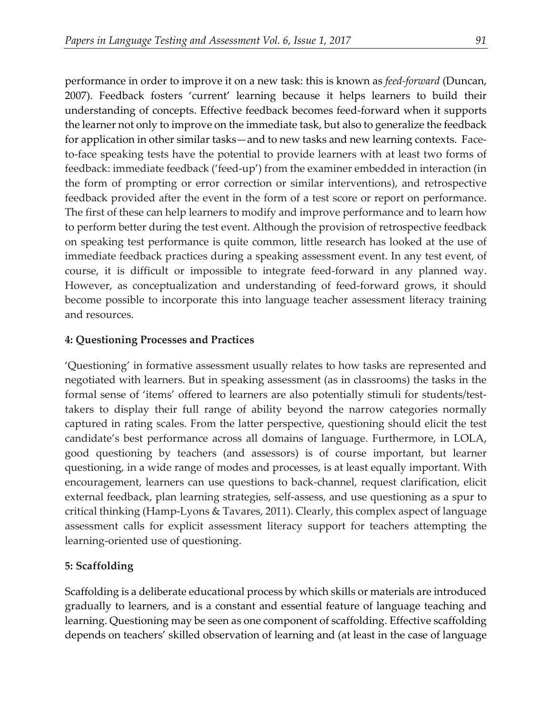performance in order to improve it on a new task: this is known as *feed-forward* (Duncan, 2007). Feedback fosters 'current' learning because it helps learners to build their understanding of concepts. Effective feedback becomes feed-forward when it supports the learner not only to improve on the immediate task, but also to generalize the feedback for application in other similar tasks—and to new tasks and new learning contexts. Faceto-face speaking tests have the potential to provide learners with at least two forms of feedback: immediate feedback ('feed-up') from the examiner embedded in interaction (in the form of prompting or error correction or similar interventions), and retrospective feedback provided after the event in the form of a test score or report on performance. The first of these can help learners to modify and improve performance and to learn how to perform better during the test event. Although the provision of retrospective feedback on speaking test performance is quite common, little research has looked at the use of immediate feedback practices during a speaking assessment event. In any test event, of course, it is difficult or impossible to integrate feed-forward in any planned way. However, as conceptualization and understanding of feed-forward grows, it should become possible to incorporate this into language teacher assessment literacy training and resources.

#### **4: Questioning Processes and Practices**

'Questioning' in formative assessment usually relates to how tasks are represented and negotiated with learners. But in speaking assessment (as in classrooms) the tasks in the formal sense of 'items' offered to learners are also potentially stimuli for students/testtakers to display their full range of ability beyond the narrow categories normally captured in rating scales. From the latter perspective, questioning should elicit the test candidate's best performance across all domains of language. Furthermore, in LOLA, good questioning by teachers (and assessors) is of course important, but learner questioning, in a wide range of modes and processes, is at least equally important. With encouragement, learners can use questions to back-channel, request clarification, elicit external feedback, plan learning strategies, self-assess, and use questioning as a spur to critical thinking (Hamp-Lyons & Tavares, 2011). Clearly, this complex aspect of language assessment calls for explicit assessment literacy support for teachers attempting the learning-oriented use of questioning.

#### **5: Scaffolding**

Scaffolding is a deliberate educational process by which skills or materials are introduced gradually to learners, and is a constant and essential feature of language teaching and learning. Questioning may be seen as one component of scaffolding. Effective scaffolding depends on teachers' skilled observation of learning and (at least in the case of language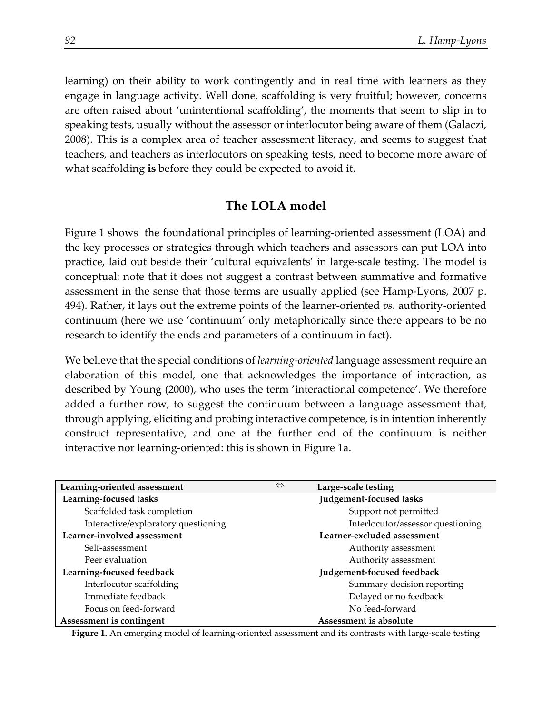learning) on their ability to work contingently and in real time with learners as they engage in language activity. Well done, scaffolding is very fruitful; however, concerns are often raised about 'unintentional scaffolding', the moments that seem to slip in to speaking tests, usually without the assessor or interlocutor being aware of them (Galaczi, 2008). This is a complex area of teacher assessment literacy, and seems to suggest that teachers, and teachers as interlocutors on speaking tests, need to become more aware of what scaffolding **is** before they could be expected to avoid it.

### **The LOLA model**

Figure 1 shows the foundational principles of learning-oriented assessment (LOA) and the key processes or strategies through which teachers and assessors can put LOA into practice, laid out beside their 'cultural equivalents' in large-scale testing. The model is conceptual: note that it does not suggest a contrast between summative and formative assessment in the sense that those terms are usually applied (see Hamp-Lyons, 2007 p. 494). Rather, it lays out the extreme points of the learner-oriented *vs.* authority-oriented continuum (here we use 'continuum' only metaphorically since there appears to be no research to identify the ends and parameters of a continuum in fact).

We believe that the special conditions of *learning-oriented* language assessment require an elaboration of this model, one that acknowledges the importance of interaction, as described by Young (2000), who uses the term 'interactional competence'. We therefore added a further row, to suggest the continuum between a language assessment that, through applying, eliciting and probing interactive competence, is in intention inherently construct representative, and one at the further end of the continuum is neither interactive nor learning-oriented: this is shown in Figure 1a.

| Learning-oriented assessment        | ⇔ | Large-scale testing               |
|-------------------------------------|---|-----------------------------------|
| Learning-focused tasks              |   | Judgement-focused tasks           |
| Scaffolded task completion          |   | Support not permitted             |
| Interactive/exploratory questioning |   | Interlocutor/assessor questioning |
| Learner-involved assessment         |   | Learner-excluded assessment       |
| Self-assessment                     |   | Authority assessment              |
| Peer evaluation                     |   | Authority assessment              |
| Learning-focused feedback           |   | Judgement-focused feedback        |
| Interlocutor scaffolding            |   | Summary decision reporting        |
| Immediate feedback                  |   | Delayed or no feedback            |
| Focus on feed-forward               |   | No feed-forward                   |
| Assessment is contingent            |   | Assessment is absolute            |

**Figure 1.** An emerging model of learning-oriented assessment and its contrasts with large-scale testing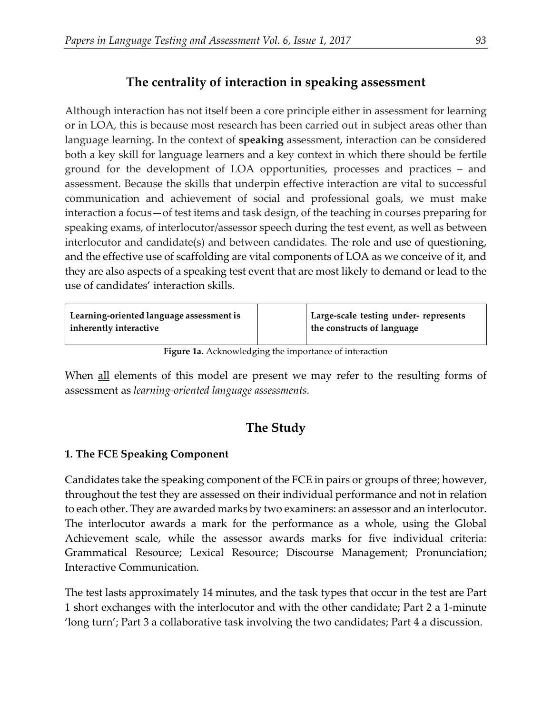# **The centrality of interaction in speaking assessment**

Although interaction has not itself been a core principle either in assessment for learning or in LOA, this is because most research has been carried out in subject areas other than language learning. In the context of **speaking** assessment, interaction can be considered both a key skill for language learners and a key context in which there should be fertile ground for the development of LOA opportunities, processes and practices – and assessment. Because the skills that underpin effective interaction are vital to successful communication and achievement of social and professional goals, we must make interaction a focus—of test items and task design, of the teaching in courses preparing for speaking exams, of interlocutor/assessor speech during the test event, as well as between interlocutor and candidate(s) and between candidates. The role and use of questioning, and the effective use of scaffolding are vital components of LOA as we conceive of it, and they are also aspects of a speaking test event that are most likely to demand or lead to the use of candidates' interaction skills.

| Learning-oriented language assessment is | Large-scale testing under- represents |
|------------------------------------------|---------------------------------------|
| $\mid$ inherently interactive            | the constructs of language            |

**Figure 1a.** Acknowledging the importance of interaction

When all elements of this model are present we may refer to the resulting forms of assessment as *learning-oriented language assessments.* 

# **The Study**

## **1. The FCE Speaking Component**

Candidates take the speaking component of the FCE in pairs or groups of three; however, throughout the test they are assessed on their individual performance and not in relation to each other. They are awarded marks by two examiners: an assessor and an interlocutor. The interlocutor awards a mark for the performance as a whole, using the Global Achievement scale, while the assessor awards marks for five individual criteria: Grammatical Resource; Lexical Resource; Discourse Management; Pronunciation; Interactive Communication.

The test lasts approximately 14 minutes, and the task types that occur in the test are Part 1 short exchanges with the interlocutor and with the other candidate; Part 2 a 1-minute 'long turn'; Part 3 a collaborative task involving the two candidates; Part 4 a discussion.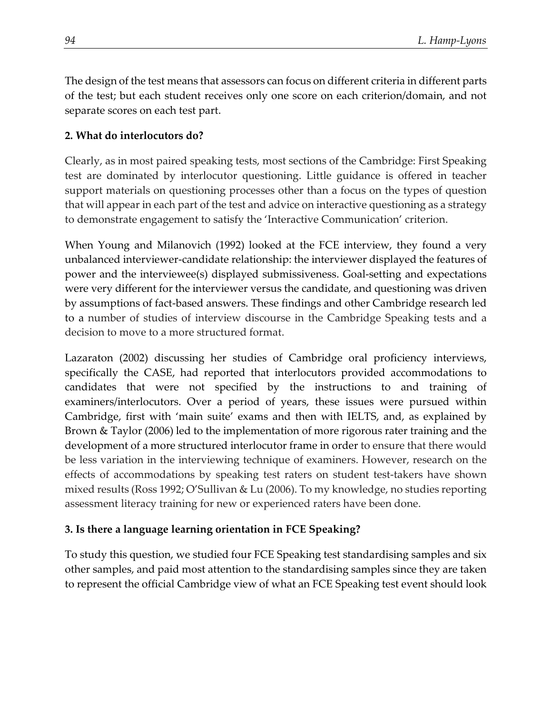The design of the test means that assessors can focus on different criteria in different parts of the test; but each student receives only one score on each criterion/domain, and not separate scores on each test part.

## **2. What do interlocutors do?**

Clearly, as in most paired speaking tests, most sections of the Cambridge: First Speaking test are dominated by interlocutor questioning. Little guidance is offered in teacher support materials on questioning processes other than a focus on the types of question that will appear in each part of the test and advice on interactive questioning as a strategy to demonstrate engagement to satisfy the 'Interactive Communication' criterion.

When Young and Milanovich (1992) looked at the FCE interview, they found a very unbalanced interviewer-candidate relationship: the interviewer displayed the features of power and the interviewee(s) displayed submissiveness. Goal-setting and expectations were very different for the interviewer versus the candidate, and questioning was driven by assumptions of fact-based answers. These findings and other Cambridge research led to a number of studies of interview discourse in the Cambridge Speaking tests and a decision to move to a more structured format.

Lazaraton (2002) discussing her studies of Cambridge oral proficiency interviews, specifically the CASE, had reported that interlocutors provided accommodations to candidates that were not specified by the instructions to and training of examiners/interlocutors. Over a period of years, these issues were pursued within Cambridge, first with 'main suite' exams and then with IELTS, and, as explained by Brown & Taylor (2006) led to the implementation of more rigorous rater training and the development of a more structured interlocutor frame in order to ensure that there would be less variation in the interviewing technique of examiners. However, research on the effects of accommodations by speaking test raters on student test-takers have shown mixed results (Ross 1992; O'Sullivan & Lu (2006). To my knowledge, no studies reporting assessment literacy training for new or experienced raters have been done.

## **3. Is there a language learning orientation in FCE Speaking?**

To study this question, we studied four FCE Speaking test standardising samples and six other samples, and paid most attention to the standardising samples since they are taken to represent the official Cambridge view of what an FCE Speaking test event should look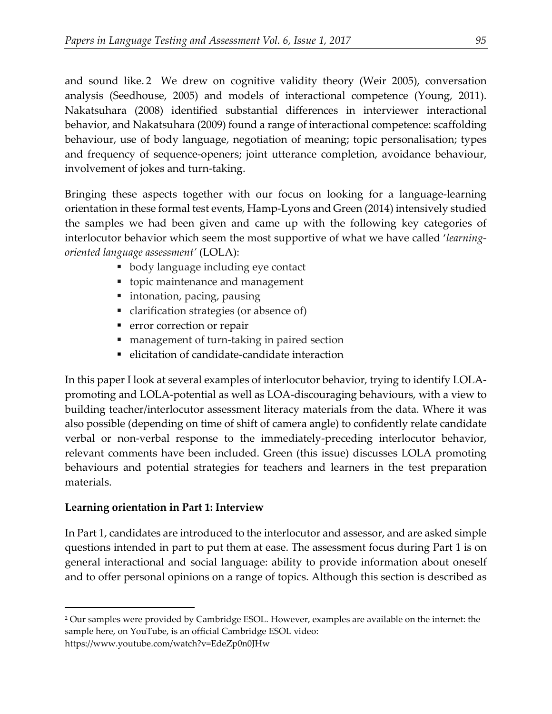and sound like. [2](#page-7-0) We drew on cognitive validity theory (Weir 2005), conversation analysis (Seedhouse, 2005) and models of interactional competence (Young, 2011). Nakatsuhara (2008) identified substantial differences in interviewer interactional behavior, and Nakatsuhara (2009) found a range of interactional competence: scaffolding behaviour, use of body language, negotiation of meaning; topic personalisation; types and frequency of sequence-openers; joint utterance completion, avoidance behaviour, involvement of jokes and turn-taking.

Bringing these aspects together with our focus on looking for a language-learning orientation in these formal test events, Hamp-Lyons and Green (2014) intensively studied the samples we had been given and came up with the following key categories of interlocutor behavior which seem the most supportive of what we have called '*learningoriented language assessment'* (LOLA):

- body language including eye contact
- topic maintenance and management
- intonation, pacing, pausing
- clarification strategies (or absence of)
- **•** error correction or repair
- management of turn-taking in paired section
- $\blacksquare$  elicitation of candidate-candidate interaction

In this paper I look at several examples of interlocutor behavior, trying to identify LOLApromoting and LOLA-potential as well as LOA-discouraging behaviours, with a view to building teacher/interlocutor assessment literacy materials from the data. Where it was also possible (depending on time of shift of camera angle) to confidently relate candidate verbal or non-verbal response to the immediately-preceding interlocutor behavior, relevant comments have been included. Green (this issue) discusses LOLA promoting behaviours and potential strategies for teachers and learners in the test preparation materials.

# **Learning orientation in Part 1: Interview**

In Part 1, candidates are introduced to the interlocutor and assessor, and are asked simple questions intended in part to put them at ease. The assessment focus during Part 1 is on general interactional and social language: ability to provide information about oneself and to offer personal opinions on a range of topics. Although this section is described as

 $\overline{a}$ 

<span id="page-7-0"></span><sup>&</sup>lt;sup>2</sup> Our samples were provided by Cambridge ESOL. However, examples are available on the internet: the sample here, on YouTube, is an official Cambridge ESOL video: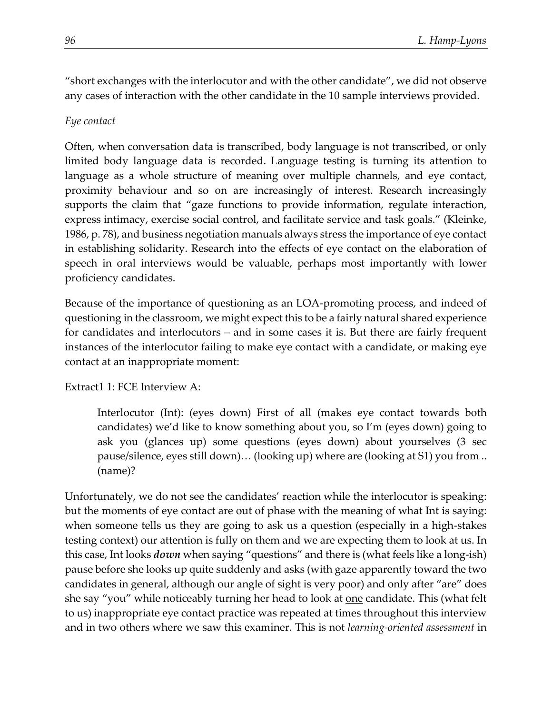"short exchanges with the interlocutor and with the other candidate", we did not observe any cases of interaction with the other candidate in the 10 sample interviews provided.

## *Eye contact*

Often, when conversation data is transcribed, body language is not transcribed, or only limited body language data is recorded. Language testing is turning its attention to language as a whole structure of meaning over multiple channels, and eye contact, proximity behaviour and so on are increasingly of interest. Research increasingly supports the claim that "gaze functions to provide information, regulate interaction, express intimacy, exercise social control, and facilitate service and task goals." (Kleinke, 1986, p. 78), and business negotiation manuals always stress the importance of eye contact in establishing solidarity. Research into the effects of eye contact on the elaboration of speech in oral interviews would be valuable, perhaps most importantly with lower proficiency candidates.

Because of the importance of questioning as an LOA-promoting process, and indeed of questioning in the classroom, we might expect this to be a fairly natural shared experience for candidates and interlocutors – and in some cases it is. But there are fairly frequent instances of the interlocutor failing to make eye contact with a candidate, or making eye contact at an inappropriate moment:

## Extract1 1: FCE Interview A:

Interlocutor (Int): (eyes down) First of all (makes eye contact towards both candidates) we'd like to know something about you, so I'm (eyes down) going to ask you (glances up) some questions (eyes down) about yourselves (3 sec pause/silence, eyes still down)… (looking up) where are (looking at S1) you from .. (name)?

Unfortunately, we do not see the candidates' reaction while the interlocutor is speaking: but the moments of eye contact are out of phase with the meaning of what Int is saying: when someone tells us they are going to ask us a question (especially in a high-stakes testing context) our attention is fully on them and we are expecting them to look at us. In this case, Int looks *down* when saying "questions" and there is (what feels like a long-ish) pause before she looks up quite suddenly and asks (with gaze apparently toward the two candidates in general, although our angle of sight is very poor) and only after "are" does she say "you" while noticeably turning her head to look at <u>one</u> candidate. This (what felt to us) inappropriate eye contact practice was repeated at times throughout this interview and in two others where we saw this examiner. This is not *learning-oriented assessment* in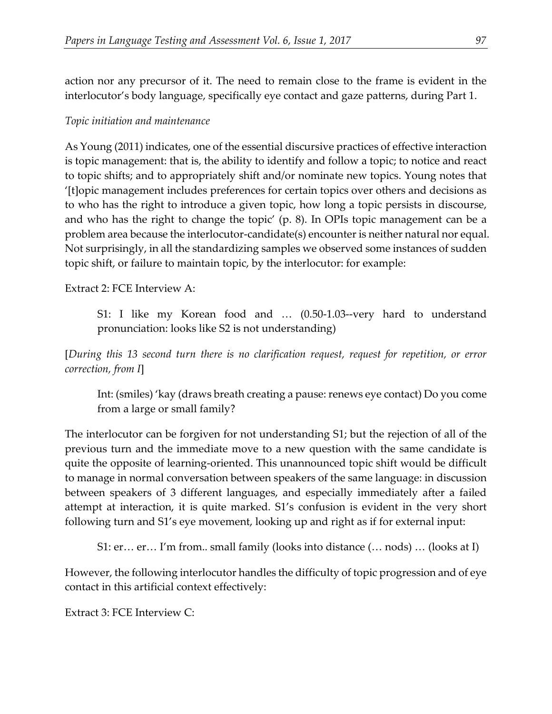action nor any precursor of it. The need to remain close to the frame is evident in the interlocutor's body language, specifically eye contact and gaze patterns, during Part 1.

#### *Topic initiation and maintenance*

As Young (2011) indicates, one of the essential discursive practices of effective interaction is topic management: that is, the ability to identify and follow a topic; to notice and react to topic shifts; and to appropriately shift and/or nominate new topics. Young notes that '[t]opic management includes preferences for certain topics over others and decisions as to who has the right to introduce a given topic, how long a topic persists in discourse, and who has the right to change the topic' (p. 8). In OPIs topic management can be a problem area because the interlocutor-candidate(s) encounter is neither natural nor equal. Not surprisingly, in all the standardizing samples we observed some instances of sudden topic shift, or failure to maintain topic, by the interlocutor: for example:

Extract 2: FCE Interview A:

S1: I like my Korean food and … (0.50-1.03--very hard to understand pronunciation: looks like S2 is not understanding)

[*During this 13 second turn there is no clarification request, request for repetition, or error correction, from I*]

Int: (smiles) 'kay (draws breath creating a pause: renews eye contact) Do you come from a large or small family?

The interlocutor can be forgiven for not understanding S1; but the rejection of all of the previous turn and the immediate move to a new question with the same candidate is quite the opposite of learning-oriented. This unannounced topic shift would be difficult to manage in normal conversation between speakers of the same language: in discussion between speakers of 3 different languages, and especially immediately after a failed attempt at interaction, it is quite marked. S1's confusion is evident in the very short following turn and S1's eye movement, looking up and right as if for external input:

S1: er… er… I'm from.. small family (looks into distance (… nods) … (looks at I)

However, the following interlocutor handles the difficulty of topic progression and of eye contact in this artificial context effectively:

Extract 3: FCE Interview C: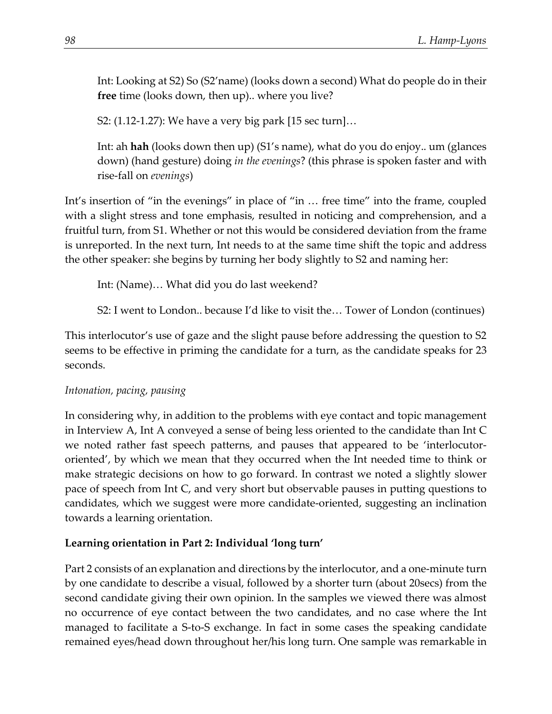Int: Looking at S2) So (S2'name) (looks down a second) What do people do in their **free** time (looks down, then up).. where you live?

S2: (1.12-1.27): We have a very big park [15 sec turn]…

Int: ah **hah** (looks down then up) (S1's name), what do you do enjoy.. um (glances down) (hand gesture) doing *in the evenings*? (this phrase is spoken faster and with rise-fall on *evenings*)

Int's insertion of "in the evenings" in place of "in ... free time" into the frame, coupled with a slight stress and tone emphasis, resulted in noticing and comprehension, and a fruitful turn, from S1. Whether or not this would be considered deviation from the frame is unreported. In the next turn, Int needs to at the same time shift the topic and address the other speaker: she begins by turning her body slightly to S2 and naming her:

Int: (Name)… What did you do last weekend?

S2: I went to London.. because I'd like to visit the… Tower of London (continues)

This interlocutor's use of gaze and the slight pause before addressing the question to S2 seems to be effective in priming the candidate for a turn, as the candidate speaks for 23 seconds.

#### *Intonation, pacing, pausing*

In considering why, in addition to the problems with eye contact and topic management in Interview A, Int A conveyed a sense of being less oriented to the candidate than Int C we noted rather fast speech patterns, and pauses that appeared to be 'interlocutororiented', by which we mean that they occurred when the Int needed time to think or make strategic decisions on how to go forward. In contrast we noted a slightly slower pace of speech from Int C, and very short but observable pauses in putting questions to candidates, which we suggest were more candidate-oriented, suggesting an inclination towards a learning orientation.

## **Learning orientation in Part 2: Individual 'long turn'**

Part 2 consists of an explanation and directions by the interlocutor, and a one-minute turn by one candidate to describe a visual, followed by a shorter turn (about 20secs) from the second candidate giving their own opinion. In the samples we viewed there was almost no occurrence of eye contact between the two candidates, and no case where the Int managed to facilitate a S-to-S exchange. In fact in some cases the speaking candidate remained eyes/head down throughout her/his long turn. One sample was remarkable in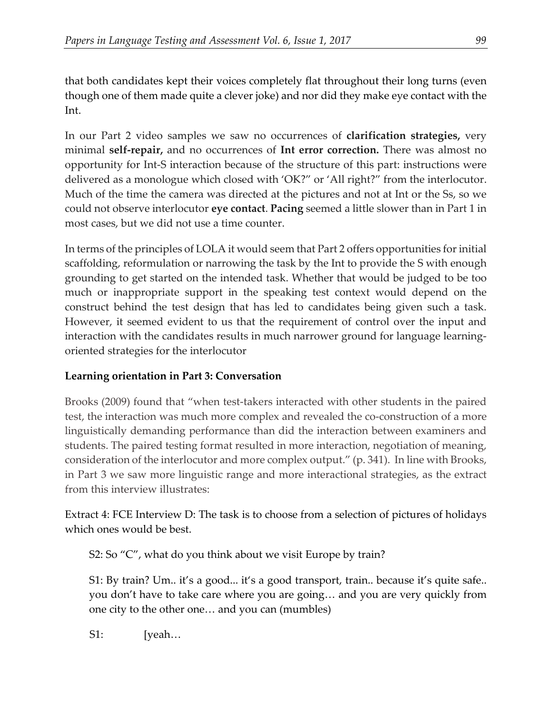that both candidates kept their voices completely flat throughout their long turns (even though one of them made quite a clever joke) and nor did they make eye contact with the Int.

In our Part 2 video samples we saw no occurrences of **clarification strategies,** very minimal **self-repair,** and no occurrences of **Int error correction.** There was almost no opportunity for Int-S interaction because of the structure of this part: instructions were delivered as a monologue which closed with 'OK?" or 'All right?" from the interlocutor. Much of the time the camera was directed at the pictures and not at Int or the Ss, so we could not observe interlocutor **eye contact**. **Pacing** seemed a little slower than in Part 1 in most cases, but we did not use a time counter.

In terms of the principles of LOLA it would seem that Part 2 offers opportunities forinitial scaffolding, reformulation or narrowing the task by the Int to provide the S with enough grounding to get started on the intended task. Whether that would be judged to be too much or inappropriate support in the speaking test context would depend on the construct behind the test design that has led to candidates being given such a task. However, it seemed evident to us that the requirement of control over the input and interaction with the candidates results in much narrower ground for language learningoriented strategies for the interlocutor

## **Learning orientation in Part 3: Conversation**

Brooks (2009) found that "when test-takers interacted with other students in the paired test, the interaction was much more complex and revealed the co-construction of a more linguistically demanding performance than did the interaction between examiners and students. The paired testing format resulted in more interaction, negotiation of meaning, consideration of the interlocutor and more complex output." (p. 341). In line with Brooks, in Part 3 we saw more linguistic range and more interactional strategies, as the extract from this interview illustrates:

Extract 4: FCE Interview D: The task is to choose from a selection of pictures of holidays which ones would be best.

S2: So "C", what do you think about we visit Europe by train?

S1: By train? Um.. it's a good... it's a good transport, train.. because it's quite safe.. you don't have to take care where you are going… and you are very quickly from one city to the other one… and you can (mumbles)

S1: [yeah...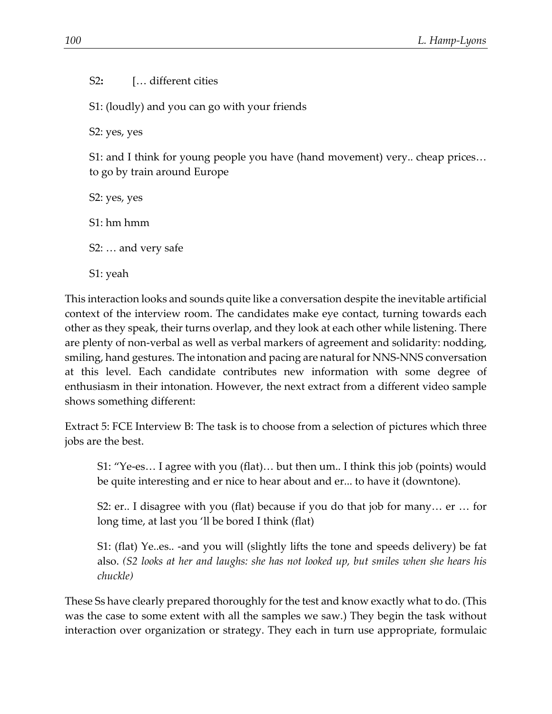S2**:** [… different cities

S1: (loudly) and you can go with your friends

S2: yes, yes

S1: and I think for young people you have (hand movement) very.. cheap prices… to go by train around Europe

S2: yes, yes

S1: hm hmm

S2: … and very safe

S1: yeah

This interaction looks and sounds quite like a conversation despite the inevitable artificial context of the interview room. The candidates make eye contact, turning towards each other as they speak, their turns overlap, and they look at each other while listening. There are plenty of non-verbal as well as verbal markers of agreement and solidarity: nodding, smiling, hand gestures. The intonation and pacing are natural for NNS-NNS conversation at this level. Each candidate contributes new information with some degree of enthusiasm in their intonation. However, the next extract from a different video sample shows something different:

Extract 5: FCE Interview B: The task is to choose from a selection of pictures which three jobs are the best.

S1: "Ye-es… I agree with you (flat)… but then um.. I think this job (points) would be quite interesting and er nice to hear about and er... to have it (downtone).

S2: er.. I disagree with you (flat) because if you do that job for many… er … for long time, at last you 'll be bored I think (flat)

S1: (flat) Ye..es.. -and you will (slightly lifts the tone and speeds delivery) be fat also. *(S2 looks at her and laughs: she has not looked up, but smiles when she hears his chuckle)*

These Ss have clearly prepared thoroughly for the test and know exactly what to do. (This was the case to some extent with all the samples we saw.) They begin the task without interaction over organization or strategy. They each in turn use appropriate, formulaic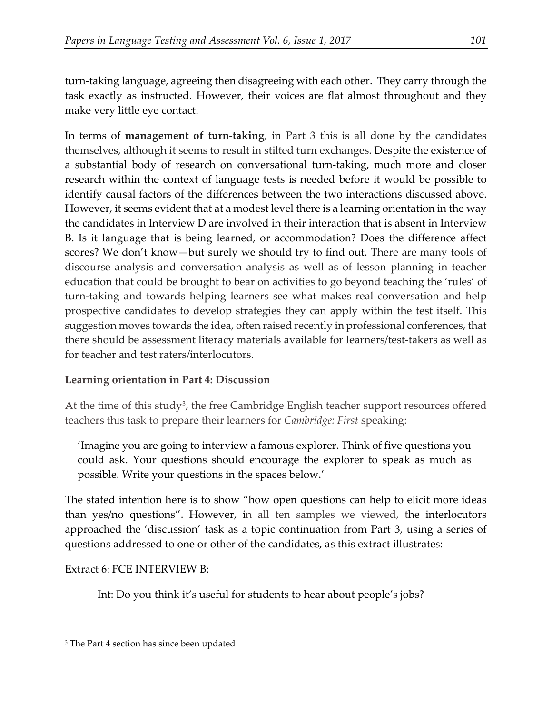turn-taking language, agreeing then disagreeing with each other. They carry through the task exactly as instructed. However, their voices are flat almost throughout and they make very little eye contact.

In terms of **management of turn-taking**, in Part 3 this is all done by the candidates themselves, although it seems to result in stilted turn exchanges. Despite the existence of a substantial body of research on conversational turn-taking, much more and closer research within the context of language tests is needed before it would be possible to identify causal factors of the differences between the two interactions discussed above. However, it seems evident that at a modest level there is a learning orientation in the way the candidates in Interview D are involved in their interaction that is absent in Interview B. Is it language that is being learned, or accommodation? Does the difference affect scores? We don't know—but surely we should try to find out. There are many tools of discourse analysis and conversation analysis as well as of lesson planning in teacher education that could be brought to bear on activities to go beyond teaching the 'rules' of turn-taking and towards helping learners see what makes real conversation and help prospective candidates to develop strategies they can apply within the test itself. This suggestion moves towards the idea, often raised recently in professional conferences, that there should be assessment literacy materials available for learners/test-takers as well as for teacher and test raters/interlocutors.

## **Learning orientation in Part 4: Discussion**

At the time of this study<sup>3</sup>, the free Cambridge English teacher support resources offered teachers this task to prepare their learners for *Cambridge: First* speaking:

'Imagine you are going to interview a famous explorer. Think of five questions you could ask. Your questions should encourage the explorer to speak as much as possible. Write your questions in the spaces below.'

The stated intention here is to show "how open questions can help to elicit more ideas than yes/no questions". However, in all ten samples we viewed, the interlocutors approached the 'discussion' task as a topic continuation from Part 3, using a series of questions addressed to one or other of the candidates, as this extract illustrates:

Extract 6: FCE INTERVIEW B:

 $\overline{a}$ 

Int: Do you think it's useful for students to hear about people's jobs?

<span id="page-13-0"></span><sup>&</sup>lt;sup>3</sup> The Part 4 section has since been updated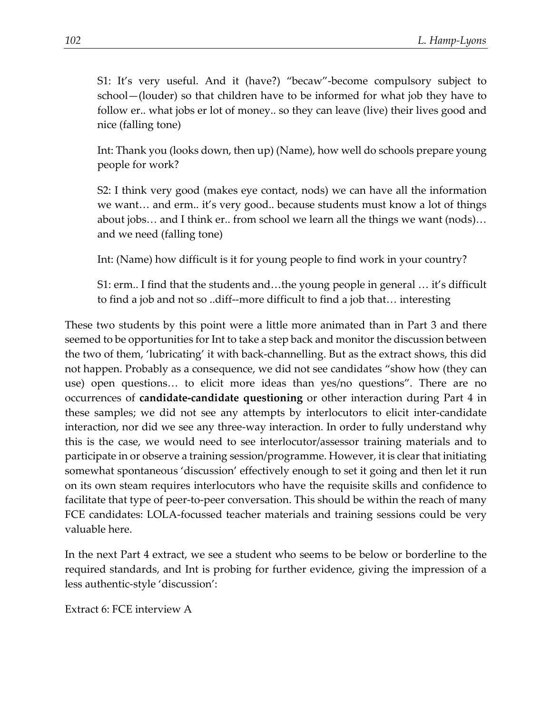S1: It's very useful. And it (have?) "becaw"-become compulsory subject to school—(louder) so that children have to be informed for what job they have to follow er.. what jobs er lot of money.. so they can leave (live) their lives good and nice (falling tone)

Int: Thank you (looks down, then up) (Name), how well do schools prepare young people for work?

S2: I think very good (makes eye contact, nods) we can have all the information we want… and erm.. it's very good.. because students must know a lot of things about jobs… and I think er.. from school we learn all the things we want (nods)… and we need (falling tone)

Int: (Name) how difficult is it for young people to find work in your country?

S1: erm.. I find that the students and…the young people in general … it's difficult to find a job and not so ..diff--more difficult to find a job that… interesting

These two students by this point were a little more animated than in Part 3 and there seemed to be opportunities for Int to take a step back and monitor the discussion between the two of them, 'lubricating' it with back-channelling. But as the extract shows, this did not happen. Probably as a consequence, we did not see candidates "show how (they can use) open questions… to elicit more ideas than yes/no questions". There are no occurrences of **candidate-candidate questioning** or other interaction during Part 4 in these samples; we did not see any attempts by interlocutors to elicit inter-candidate interaction, nor did we see any three-way interaction. In order to fully understand why this is the case, we would need to see interlocutor/assessor training materials and to participate in or observe a training session/programme. However, it is clear that initiating somewhat spontaneous 'discussion' effectively enough to set it going and then let it run on its own steam requires interlocutors who have the requisite skills and confidence to facilitate that type of peer-to-peer conversation. This should be within the reach of many FCE candidates: LOLA-focussed teacher materials and training sessions could be very valuable here.

In the next Part 4 extract, we see a student who seems to be below or borderline to the required standards, and Int is probing for further evidence, giving the impression of a less authentic-style 'discussion':

Extract 6: FCE interview A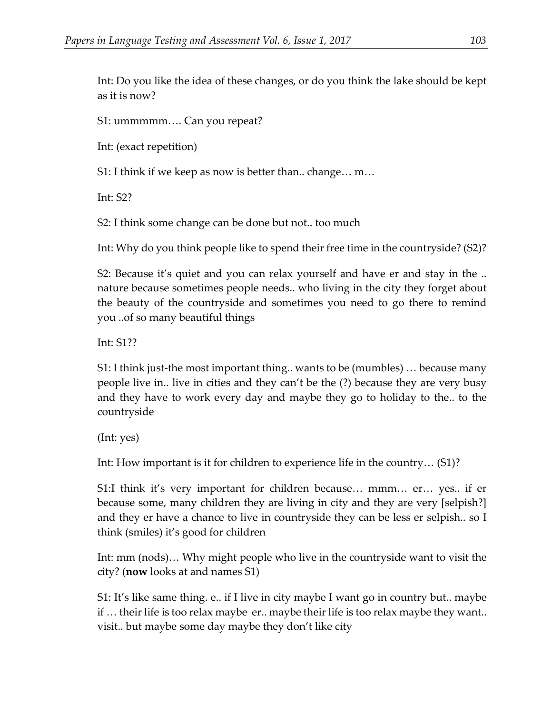Int: Do you like the idea of these changes, or do you think the lake should be kept as it is now?

S1: ummmmm…. Can you repeat?

Int: (exact repetition)

S1: I think if we keep as now is better than.. change… m…

Int: S2?

S2: I think some change can be done but not.. too much

Int: Why do you think people like to spend their free time in the countryside? (S2)?

S2: Because it's quiet and you can relax yourself and have er and stay in the .. nature because sometimes people needs.. who living in the city they forget about the beauty of the countryside and sometimes you need to go there to remind you ..of so many beautiful things

Int: S1??

S1: I think just-the most important thing.. wants to be (mumbles) … because many people live in.. live in cities and they can't be the (?) because they are very busy and they have to work every day and maybe they go to holiday to the.. to the countryside

(Int: yes)

Int: How important is it for children to experience life in the country… (S1)?

S1:I think it's very important for children because… mmm… er… yes.. if er because some, many children they are living in city and they are very [selpish?] and they er have a chance to live in countryside they can be less er selpish.. so I think (smiles) it's good for children

Int: mm (nods)… Why might people who live in the countryside want to visit the city? (**now** looks at and names S1)

S1: It's like same thing. e.. if I live in city maybe I want go in country but.. maybe if … their life is too relax maybe er.. maybe their life is too relax maybe they want.. visit.. but maybe some day maybe they don't like city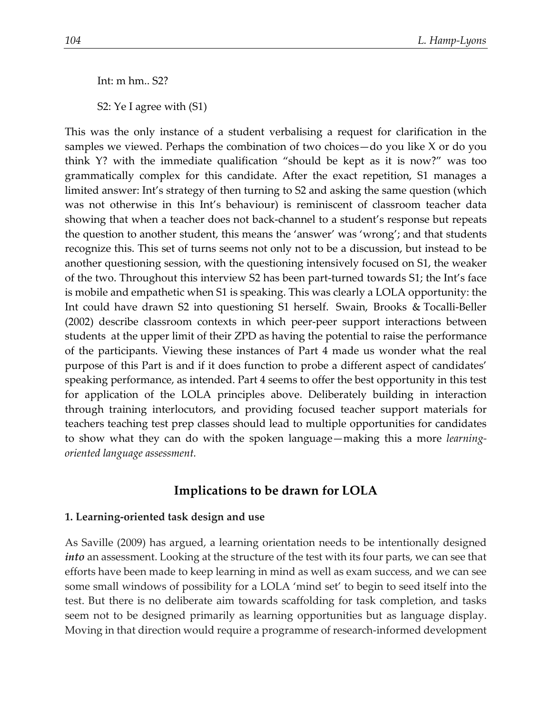Int: m hm.. S2?

S2: Ye I agree with (S1)

This was the only instance of a student verbalising a request for clarification in the samples we viewed. Perhaps the combination of two choices—do you like X or do you think Y? with the immediate qualification "should be kept as it is now?" was too grammatically complex for this candidate. After the exact repetition, S1 manages a limited answer: Int's strategy of then turning to S2 and asking the same question (which was not otherwise in this Int's behaviour) is reminiscent of classroom teacher data showing that when a teacher does not back-channel to a student's response but repeats the question to another student, this means the 'answer' was 'wrong'; and that students recognize this. This set of turns seems not only not to be a discussion, but instead to be another questioning session, with the questioning intensively focused on S1, the weaker of the two. Throughout this interview S2 has been part-turned towards S1; the Int's face is mobile and empathetic when S1 is speaking. This was clearly a LOLA opportunity: the Int could have drawn S2 into questioning S1 herself. Swain, Brooks & Tocalli-Beller (2002) describe classroom contexts in which peer-peer support interactions between students at the upper limit of their ZPD as having the potential to raise the performance of the participants. Viewing these instances of Part 4 made us wonder what the real purpose of this Part is and if it does function to probe a different aspect of candidates' speaking performance, as intended. Part 4 seems to offer the best opportunity in this test for application of the LOLA principles above. Deliberately building in interaction through training interlocutors, and providing focused teacher support materials for teachers teaching test prep classes should lead to multiple opportunities for candidates to show what they can do with the spoken language—making this a more *learningoriented language assessment.* 

## **Implications to be drawn for LOLA**

#### **1. Learning-oriented task design and use**

As Saville (2009) has argued, a learning orientation needs to be intentionally designed *into* an assessment. Looking at the structure of the test with its four parts, we can see that efforts have been made to keep learning in mind as well as exam success, and we can see some small windows of possibility for a LOLA 'mind set' to begin to seed itself into the test. But there is no deliberate aim towards scaffolding for task completion, and tasks seem not to be designed primarily as learning opportunities but as language display. Moving in that direction would require a programme of research-informed development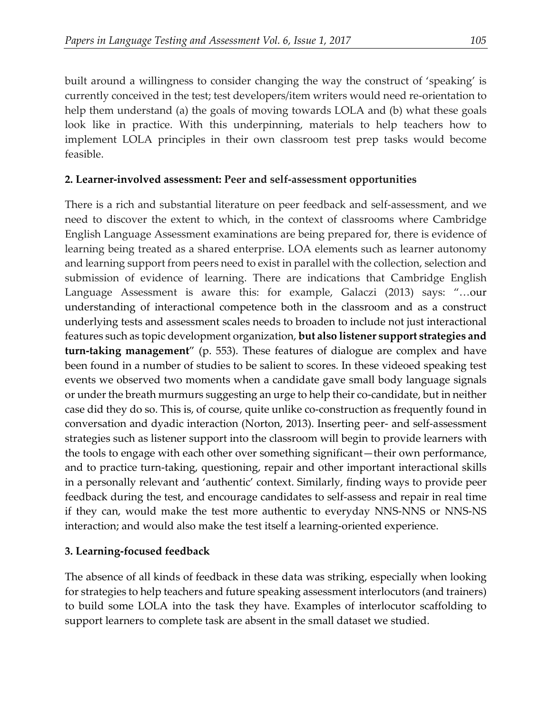built around a willingness to consider changing the way the construct of 'speaking' is currently conceived in the test; test developers/item writers would need re-orientation to help them understand (a) the goals of moving towards LOLA and (b) what these goals look like in practice. With this underpinning, materials to help teachers how to implement LOLA principles in their own classroom test prep tasks would become feasible.

### **2. Learner-involved assessment: Peer and self-assessment opportunities**

There is a rich and substantial literature on peer feedback and self-assessment, and we need to discover the extent to which, in the context of classrooms where Cambridge English Language Assessment examinations are being prepared for, there is evidence of learning being treated as a shared enterprise. LOA elements such as learner autonomy and learning support from peers need to exist in parallel with the collection, selection and submission of evidence of learning. There are indications that Cambridge English Language Assessment is aware this: for example, Galaczi (2013) says: "…our understanding of interactional competence both in the classroom and as a construct underlying tests and assessment scales needs to broaden to include not just interactional features such as topic development organization, **but also listener support strategies and turn-taking management**" (p. 553). These features of dialogue are complex and have been found in a number of studies to be salient to scores. In these videoed speaking test events we observed two moments when a candidate gave small body language signals or under the breath murmurs suggesting an urge to help their co-candidate, but in neither case did they do so. This is, of course, quite unlike co-construction as frequently found in conversation and dyadic interaction (Norton, 2013). Inserting peer- and self-assessment strategies such as listener support into the classroom will begin to provide learners with the tools to engage with each other over something significant—their own performance, and to practice turn-taking, questioning, repair and other important interactional skills in a personally relevant and 'authentic' context. Similarly, finding ways to provide peer feedback during the test, and encourage candidates to self-assess and repair in real time if they can, would make the test more authentic to everyday NNS-NNS or NNS-NS interaction; and would also make the test itself a learning-oriented experience.

## **3. Learning-focused feedback**

The absence of all kinds of feedback in these data was striking, especially when looking for strategies to help teachers and future speaking assessment interlocutors (and trainers) to build some LOLA into the task they have. Examples of interlocutor scaffolding to support learners to complete task are absent in the small dataset we studied.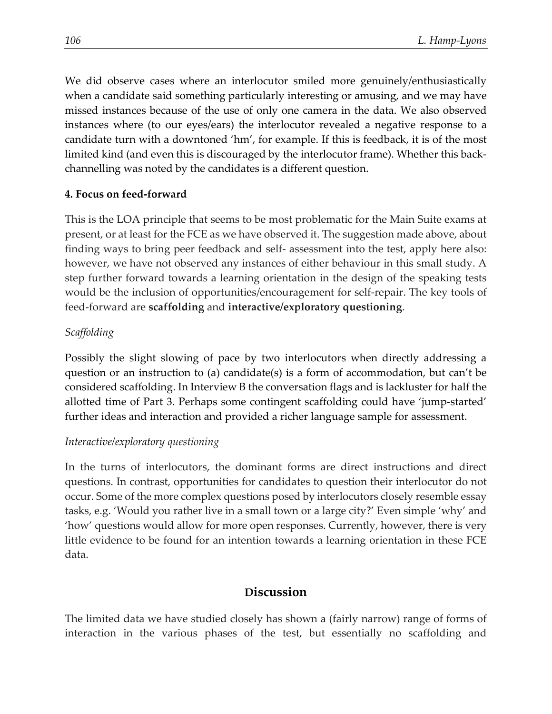We did observe cases where an interlocutor smiled more genuinely/enthusiastically when a candidate said something particularly interesting or amusing, and we may have missed instances because of the use of only one camera in the data. We also observed instances where (to our eyes/ears) the interlocutor revealed a negative response to a candidate turn with a downtoned 'hm', for example. If this is feedback, it is of the most limited kind (and even this is discouraged by the interlocutor frame). Whether this backchannelling was noted by the candidates is a different question.

#### **4. Focus on feed-forward**

This is the LOA principle that seems to be most problematic for the Main Suite exams at present, or at least for the FCE as we have observed it. The suggestion made above, about finding ways to bring peer feedback and self- assessment into the test, apply here also: however, we have not observed any instances of either behaviour in this small study. A step further forward towards a learning orientation in the design of the speaking tests would be the inclusion of opportunities/encouragement for self-repair. The key tools of feed-forward are **scaffolding** and **interactive/exploratory questioning**.

## *Scaffolding*

Possibly the slight slowing of pace by two interlocutors when directly addressing a question or an instruction to (a) candidate(s) is a form of accommodation, but can't be considered scaffolding. In Interview B the conversation flags and is lackluster for half the allotted time of Part 3. Perhaps some contingent scaffolding could have 'jump-started' further ideas and interaction and provided a richer language sample for assessment.

#### *Interactive/exploratory questioning*

In the turns of interlocutors, the dominant forms are direct instructions and direct questions. In contrast, opportunities for candidates to question their interlocutor do not occur. Some of the more complex questions posed by interlocutors closely resemble essay tasks, e.g. 'Would you rather live in a small town or a large city?' Even simple 'why' and 'how' questions would allow for more open responses. Currently, however, there is very little evidence to be found for an intention towards a learning orientation in these FCE data.

## **Discussion**

The limited data we have studied closely has shown a (fairly narrow) range of forms of interaction in the various phases of the test, but essentially no scaffolding and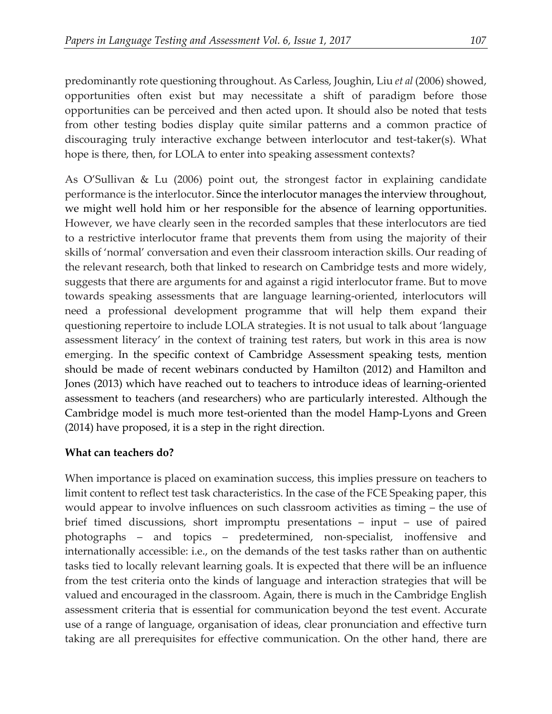predominantly rote questioning throughout. As Carless, Joughin, Liu *et al* (2006) showed, opportunities often exist but may necessitate a shift of paradigm before those opportunities can be perceived and then acted upon. It should also be noted that tests from other testing bodies display quite similar patterns and a common practice of discouraging truly interactive exchange between interlocutor and test-taker(s). What hope is there, then, for LOLA to enter into speaking assessment contexts?

As O'Sullivan & Lu (2006) point out, the strongest factor in explaining candidate performance is the interlocutor. Since the interlocutor manages the interview throughout, we might well hold him or her responsible for the absence of learning opportunities. However, we have clearly seen in the recorded samples that these interlocutors are tied to a restrictive interlocutor frame that prevents them from using the majority of their skills of 'normal' conversation and even their classroom interaction skills. Our reading of the relevant research, both that linked to research on Cambridge tests and more widely, suggests that there are arguments for and against a rigid interlocutor frame. But to move towards speaking assessments that are language learning-oriented, interlocutors will need a professional development programme that will help them expand their questioning repertoire to include LOLA strategies. It is not usual to talk about 'language assessment literacy' in the context of training test raters, but work in this area is now emerging. In the specific context of Cambridge Assessment speaking tests, mention should be made of recent webinars conducted by Hamilton (2012) and Hamilton and Jones (2013) which have reached out to teachers to introduce ideas of learning-oriented assessment to teachers (and researchers) who are particularly interested. Although the Cambridge model is much more test-oriented than the model Hamp-Lyons and Green (2014) have proposed, it is a step in the right direction.

#### **What can teachers do?**

When importance is placed on examination success, this implies pressure on teachers to limit content to reflect test task characteristics. In the case of the FCE Speaking paper, this would appear to involve influences on such classroom activities as timing – the use of brief timed discussions, short impromptu presentations – input – use of paired photographs – and topics – predetermined, non-specialist, inoffensive and internationally accessible: i.e., on the demands of the test tasks rather than on authentic tasks tied to locally relevant learning goals. It is expected that there will be an influence from the test criteria onto the kinds of language and interaction strategies that will be valued and encouraged in the classroom. Again, there is much in the Cambridge English assessment criteria that is essential for communication beyond the test event. Accurate use of a range of language, organisation of ideas, clear pronunciation and effective turn taking are all prerequisites for effective communication. On the other hand, there are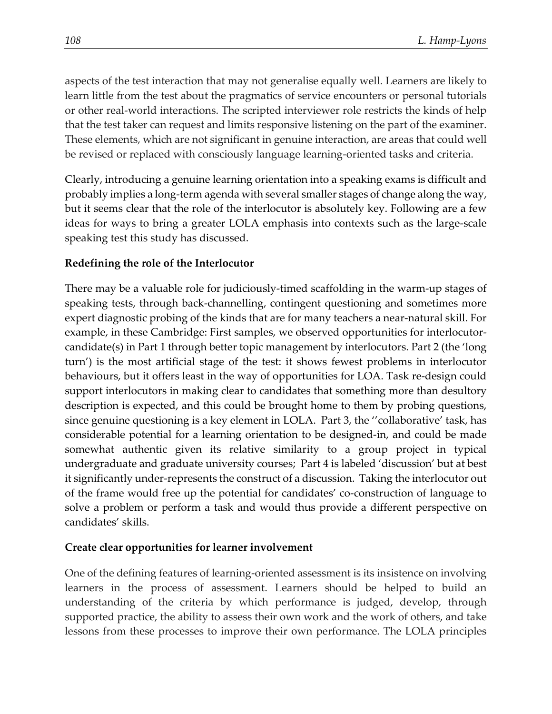aspects of the test interaction that may not generalise equally well. Learners are likely to learn little from the test about the pragmatics of service encounters or personal tutorials or other real-world interactions. The scripted interviewer role restricts the kinds of help that the test taker can request and limits responsive listening on the part of the examiner. These elements, which are not significant in genuine interaction, are areas that could well be revised or replaced with consciously language learning-oriented tasks and criteria.

Clearly, introducing a genuine learning orientation into a speaking exams is difficult and probably implies a long-term agenda with several smaller stages of change along the way, but it seems clear that the role of the interlocutor is absolutely key. Following are a few ideas for ways to bring a greater LOLA emphasis into contexts such as the large-scale speaking test this study has discussed.

#### **Redefining the role of the Interlocutor**

There may be a valuable role for judiciously-timed scaffolding in the warm-up stages of speaking tests, through back-channelling, contingent questioning and sometimes more expert diagnostic probing of the kinds that are for many teachers a near-natural skill. For example, in these Cambridge: First samples, we observed opportunities for interlocutorcandidate(s) in Part 1 through better topic management by interlocutors. Part 2 (the 'long turn') is the most artificial stage of the test: it shows fewest problems in interlocutor behaviours, but it offers least in the way of opportunities for LOA. Task re-design could support interlocutors in making clear to candidates that something more than desultory description is expected, and this could be brought home to them by probing questions, since genuine questioning is a key element in LOLA. Part 3, the ''collaborative' task, has considerable potential for a learning orientation to be designed-in, and could be made somewhat authentic given its relative similarity to a group project in typical undergraduate and graduate university courses; Part 4 is labeled 'discussion' but at best it significantly under-represents the construct of a discussion. Taking the interlocutor out of the frame would free up the potential for candidates' co-construction of language to solve a problem or perform a task and would thus provide a different perspective on candidates' skills.

#### **Create clear opportunities for learner involvement**

One of the defining features of learning-oriented assessment is its insistence on involving learners in the process of assessment. Learners should be helped to build an understanding of the criteria by which performance is judged, develop, through supported practice, the ability to assess their own work and the work of others, and take lessons from these processes to improve their own performance. The LOLA principles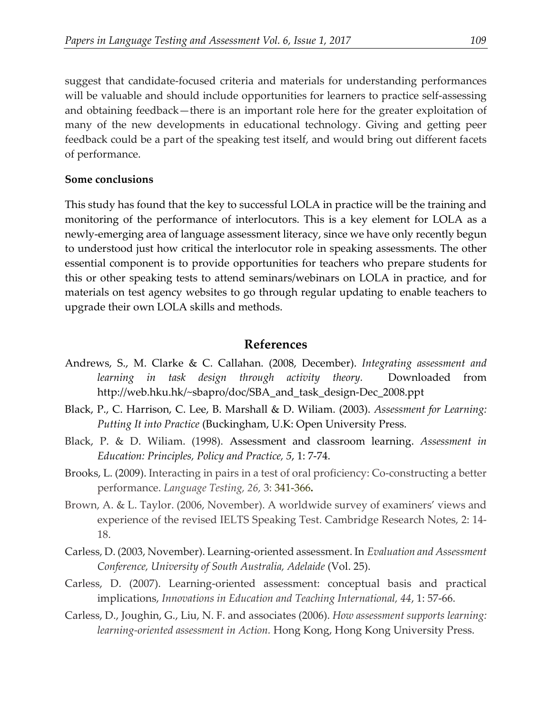suggest that candidate-focused criteria and materials for understanding performances will be valuable and should include opportunities for learners to practice self-assessing and obtaining feedback—there is an important role here for the greater exploitation of many of the new developments in educational technology. Giving and getting peer feedback could be a part of the speaking test itself, and would bring out different facets of performance.

#### **Some conclusions**

This study has found that the key to successful LOLA in practice will be the training and monitoring of the performance of interlocutors. This is a key element for LOLA as a newly-emerging area of language assessment literacy, since we have only recently begun to understood just how critical the interlocutor role in speaking assessments. The other essential component is to provide opportunities for teachers who prepare students for this or other speaking tests to attend seminars/webinars on LOLA in practice, and for materials on test agency websites to go through regular updating to enable teachers to upgrade their own LOLA skills and methods.

#### **References**

- Andrews, S., M. Clarke & C. Callahan. (2008, December). *Integrating assessment and learning in task design through activity theory.* Downloaded from http://web.hku.hk/~sbapro/doc/SBA\_and\_task\_design-Dec\_2008.ppt
- Black, P., C. Harrison, C. Lee, B. Marshall & D. Wiliam. (2003). *Assessment for Learning: Putting It into Practice* (Buckingham, U.K: Open University Press.
- Black, P. & D. Wiliam. (1998). Assessment and classroom learning. *Assessment in Education: Principles, Policy and Practice, 5*, 1: 7-74.
- Brooks, L. (2009). Interacting in pairs in a test of oral proficiency: Co-constructing a better performance. *Language Testing, 26,* 3: 341-366**.**
- Brown, A. & L. Taylor. (2006, November). A worldwide survey of examiners' views and experience of the revised IELTS Speaking Test. Cambridge Research Notes, 2: 14- 18.
- Carless, D. (2003, November). Learning-oriented assessment. In *Evaluation and Assessment Conference, University of South Australia, Adelaide* (Vol. 25).
- Carless, D. (2007). Learning-oriented assessment: conceptual basis and practical implications, *Innovations in Education and Teaching International, 44*, 1: 57-66.
- Carless, D., Joughin, G., Liu, N. F. and associates (2006). *How assessment supports learning: learning-oriented assessment in Action.* Hong Kong, Hong Kong University Press.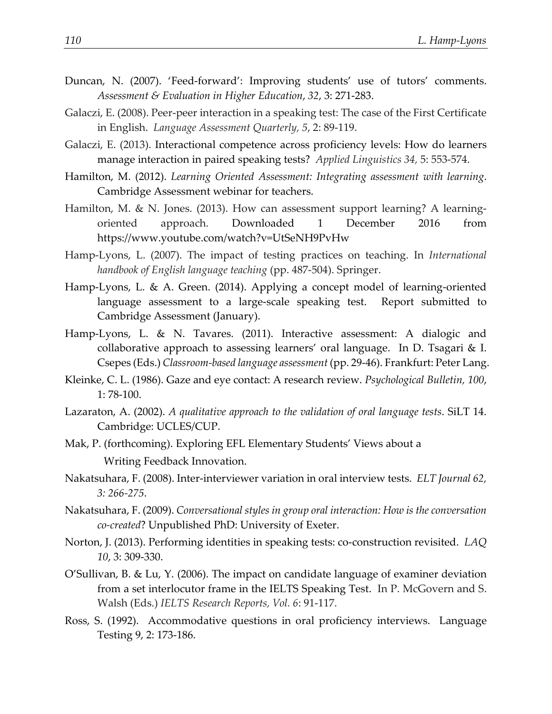- Duncan, N. (2007). 'Feed-forward': Improving students' use of tutors' comments. *Assessment & Evaluation in Higher Education*, *32*, 3: 271-283.
- Galaczi, E. (2008). Peer-peer interaction in a speaking test: The case of the First Certificate in English. *Language Assessment Quarterly, 5*, 2: 89-119.
- Galaczi, E. (2013). Interactional competence across proficiency levels: How do learners manage interaction in paired speaking tests? *Applied Linguistics 34,* 5: 553-574.
- Hamilton, M. (2012). *Learning Oriented Assessment: Integrating assessment with learning*. Cambridge Assessment webinar for teachers.
- Hamilton, M. & N. Jones. (2013). How can assessment support learning? A learningoriented approach. Downloaded 1 December 2016 from https://www.youtube.com/watch?v=UtSeNH9PvHw
- Hamp-Lyons, L. (2007). The impact of testing practices on teaching. In *International handbook of English language teaching* (pp. 487-504). Springer.
- Hamp-Lyons, L. & A. Green. (2014). Applying a concept model of learning-oriented language assessment to a large-scale speaking test. Report submitted to Cambridge Assessment (January).
- Hamp-Lyons, L. & N. Tavares. (2011). Interactive assessment: A dialogic and collaborative approach to assessing learners' oral language. In D. Tsagari & I. Csepes (Eds.) *Classroom-based language assessment* (pp. 29-46). Frankfurt: Peter Lang.
- Kleinke, C. L. (1986). Gaze and eye contact: A research review. *Psychological Bulletin, 100*, 1: 78-100.
- Lazaraton, A. (2002). *A qualitative approach to the validation of oral language tests*. SiLT 14. Cambridge: UCLES/CUP.
- Mak, P. (forthcoming). Exploring EFL Elementary Students' Views about a Writing Feedback Innovation.
- Nakatsuhara, F. (2008). Inter-interviewer variation in oral interview tests. *ELT Journal 62, 3: 266-275*.
- Nakatsuhara, F. (2009). *Conversational styles in group oral interaction: How is the conversation co-created*? Unpublished PhD: University of Exeter.
- Norton, J. (2013). Performing identities in speaking tests: co-construction revisited. *LAQ 10*, 3: 309-330.
- O'Sullivan, B. & Lu, Y. (2006). The impact on candidate language of examiner deviation from a set interlocutor frame in the IELTS Speaking Test. In P. McGovern and S. Walsh (Eds.) *IELTS Research Reports, Vol. 6*: 91-117.
- Ross, S. (1992). Accommodative questions in oral proficiency interviews. Language Testing 9, 2: 173-186.